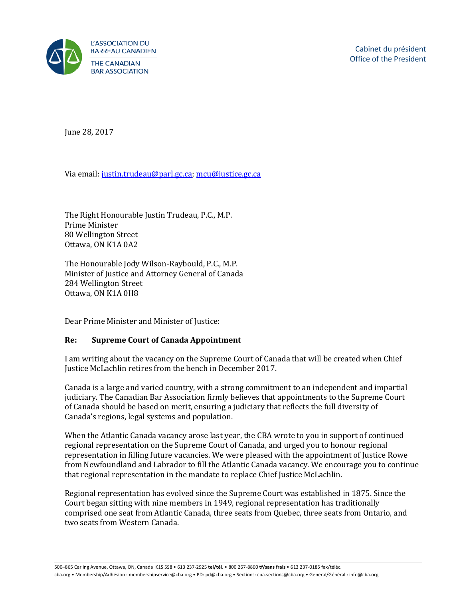

June 28, 2017

Via email[: justin.trudeau@parl.gc.ca;](mailto:justin.trudeau@parl.gc.ca) [mcu@justice.gc.ca](mailto:mcu@justice.gc.ca) 

The Right Honourable Justin Trudeau, P.C., M.P. Prime Minister 80 Wellington Street Ottawa, ON K1A 0A2

The Honourable Jody Wilson-Raybould, P.C., M.P. Minister of Justice and Attorney General of Canada 284 Wellington Street Ottawa, ON K1A 0H8

Dear Prime Minister and Minister of Justice:

## **Re: Supreme Court of Canada Appointment**

I am writing about the vacancy on the Supreme Court of Canada that will be created when Chief Justice McLachlin retires from the bench in December 2017.

Canada is a large and varied country, with a strong commitment to an independent and impartial judiciary. The Canadian Bar Association firmly believes that appointments to the Supreme Court of Canada should be based on merit, ensuring a judiciary that reflects the full diversity of Canada's regions, legal systems and population.

When the Atlantic Canada vacancy arose last year, the CBA wrote to you in support of continued regional representation on the Supreme Court of Canada, and urged you to honour regional representation in filling future vacancies. We were pleased with the appointment of Justice Rowe from Newfoundland and Labrador to fill the Atlantic Canada vacancy. We encourage you to continue that regional representation in the mandate to replace Chief Justice McLachlin.

Regional representation has evolved since the Supreme Court was established in 1875. Since the Court began sitting with nine members in 1949, regional representation has traditionally comprised one seat from Atlantic Canada, three seats from Quebec, three seats from Ontario, and two seats from Western Canada.